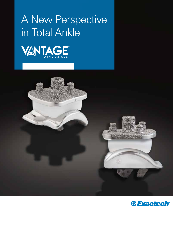# A New Perspective in Total Ankle